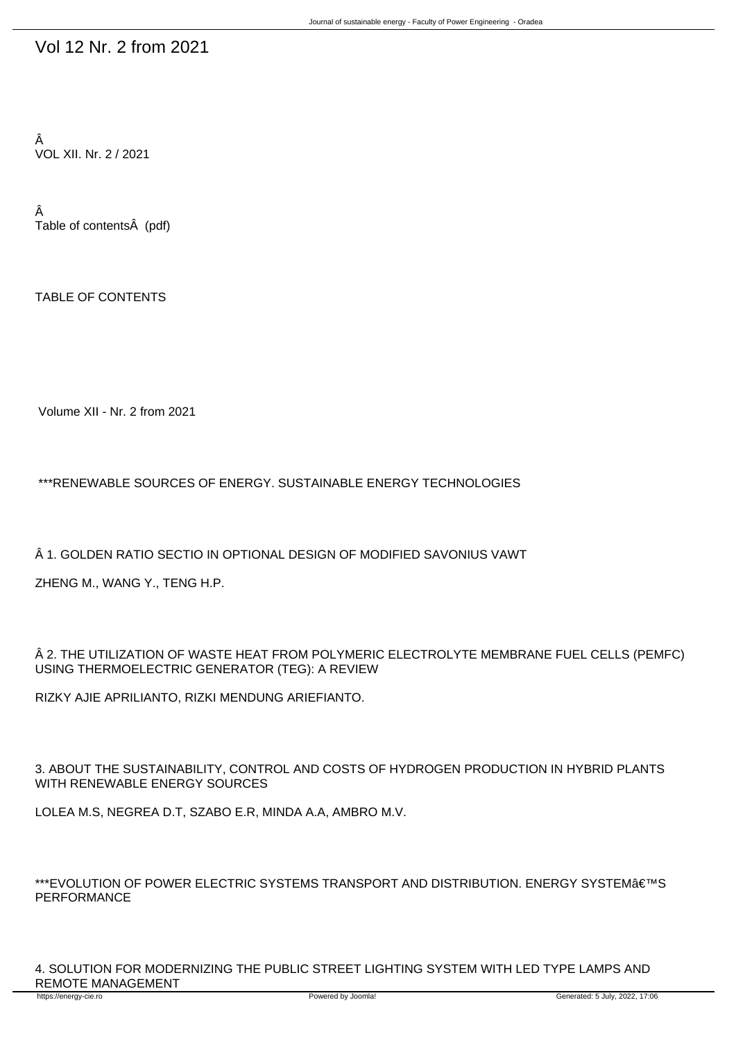## Vol 12 Nr. 2 from 2021

Â VOL XII. Nr. 2 / 2021

Â Table of contents (pdf)

TABLE OF CONTENTS

Volume XII - Nr. 2 from 2021

\*\*\*RENEWABLE SOURCES OF ENERGY. SUSTAINABLE ENERGY TECHNOLOGIES

1. GOLDEN RATIO SECTIO IN OPTIONAL DESIGN OF MODIFIED SAVONIUS VAWT

ZHENG M., WANG Y., TENG H.P.

 2. THE UTILIZATION OF WASTE HEAT FROM POLYMERIC ELECTROLYTE MEMBRANE FUEL CELLS (PEMFC) USING THERMOELECTRIC GENERATOR (TEG): A REVIEW

RIZKY AJIE APRILIANTO, RIZKI MENDUNG ARIEFIANTO.

3. ABOUT THE SUSTAINABILITY, CONTROL AND COSTS OF HYDROGEN PRODUCTION IN HYBRID PLANTS WITH RENEWABLE ENERGY SOURCES

LOLEA M.S, NEGREA D.T, SZABO E.R, MINDA A.A, AMBRO M.V.

\*\*\*EVOLUTION OF POWER ELECTRIC SYSTEMS TRANSPORT AND DISTRIBUTION. ENERGY SYSTEM€™S PERFORMANCE

4. SOLUTION FOR MODERNIZING THE PUBLIC STREET LIGHTING SYSTEM WITH LED TYPE LAMPS AND REMOTE MANAGEMENT https://energy-cie.ro Powered by Joomla! Generated: 5 July, 2022, 17:06